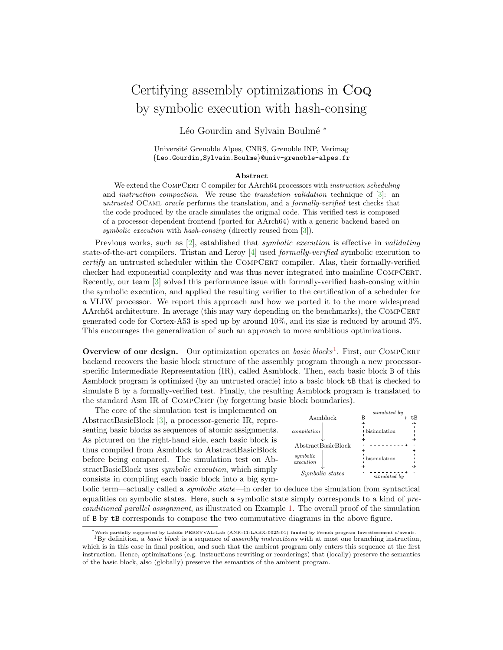## Certifying assembly optimizations in Coq by symbolic execution with hash-consing

Léo Gourdin and Sylvain Boulmé \*

Universit´e Grenoble Alpes, CNRS, Grenoble INP, Verimag {Leo.Gourdin,Sylvain.Boulme}@univ-grenoble-alpes.fr

## Abstract

We extend the COMPCERT C compiler for AArch64 processors with instruction scheduling and *instruction compaction*. We reuse the *translation validation* technique of  $[3]$ : an untrusted OCaml oracle performs the translation, and a formally-verified test checks that the code produced by the oracle simulates the original code. This verified test is composed of a processor-dependent frontend (ported for AArch64) with a generic backend based on symbolic execution with hash-consing (directly reused from [\[3\]](#page-1-0)).

Previous works, such as [\[2\]](#page-1-1), established that *symbolic execution* is effective in *validating* state-of-the-art compilers. Tristan and Leroy [\[4\]](#page-1-2) used formally-verified symbolic execution to  $certify$  an untrusted scheduler within the COMPCERT compiler. Alas, their formally-verified checker had exponential complexity and was thus never integrated into mainline COMPCERT. Recently, our team [\[3\]](#page-1-0) solved this performance issue with formally-verified hash-consing within the symbolic execution, and applied the resulting verifier to the certification of a scheduler for a VLIW processor. We report this approach and how we ported it to the more widespread AArch64 architecture. In average (this may vary depending on the benchmarks), the COMPCERT generated code for Cortex-A53 is sped up by around 10%, and its size is reduced by around 3%. This encourages the generalization of such an approach to more ambitious optimizations.

Overview of our design. Our optimization operates on basic blocks<sup>[1](#page-0-0)</sup>. First, our COMPCERT backend recovers the basic block structure of the assembly program through a new processorspecific Intermediate Representation (IR), called Asmblock. Then, each basic block B of this Asmblock program is optimized (by an untrusted oracle) into a basic block tB that is checked to simulate B by a formally-verified test. Finally, the resulting Asmblock program is translated to the standard Asm IR of COMPCERT (by forgetting basic block boundaries).

The core of the simulation test is implemented on AbstractBasicBlock [\[3\]](#page-1-0), a processor-generic IR, representing basic blocks as sequences of atomic assignments. As pictured on the right-hand side, each basic block is thus compiled from Asmblock to AbstractBasicBlock before being compared. The simulation test on AbstractBasicBlock uses symbolic execution, which simply consists in compiling each basic block into a big sym-



bolic term—actually called a *symbolic state*—in order to deduce the simulation from syntactical equalities on symbolic states. Here, such a symbolic state simply corresponds to a kind of preconditioned parallel assignment, as illustrated on Example [1.](#page-1-3) The overall proof of the simulation of B by tB corresponds to compose the two commutative diagrams in the above figure.

<span id="page-0-0"></span><sup>∗</sup>Work partially supported by LabEx PERSYVAL-Lab (ANR-11-LABX-0025-01) funded by French program Investissement d'avenir.  $1By$  definition, a *basic block* is a sequence of *assembly instructions* with at most one branching instruction, which is in this case in final position, and such that the ambient program only enters this sequence at the first instruction. Hence, optimizations (e.g. instructions rewriting or reorderings) that (locally) preserve the semantics of the basic block, also (globally) preserve the semantics of the ambient program.